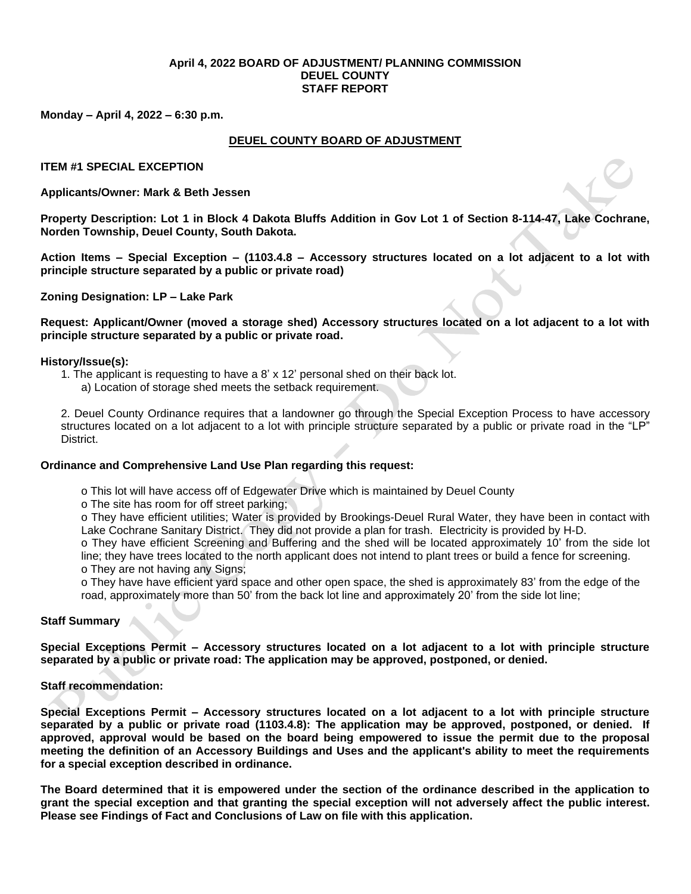#### **April 4, 2022 BOARD OF ADJUSTMENT/ PLANNING COMMISSION DEUEL COUNTY STAFF REPORT**

**Monday – April 4, 2022 – 6:30 p.m.**

#### **DEUEL COUNTY BOARD OF ADJUSTMENT**

**ITEM #1 SPECIAL EXCEPTION**

**Applicants/Owner: Mark & Beth Jessen**

**Property Description: Lot 1 in Block 4 Dakota Bluffs Addition in Gov Lot 1 of Section 8-114-47, Lake Cochrane, Norden Township, Deuel County, South Dakota.**

**Action Items – Special Exception – (1103.4.8 – Accessory structures located on a lot adjacent to a lot with principle structure separated by a public or private road)**

**Zoning Designation: LP – Lake Park**

**Request: Applicant/Owner (moved a storage shed) Accessory structures located on a lot adjacent to a lot with principle structure separated by a public or private road.**

#### **History/Issue(s):**

- 1. The applicant is requesting to have a 8' x 12' personal shed on their back lot.
	- a) Location of storage shed meets the setback requirement.

2. Deuel County Ordinance requires that a landowner go through the Special Exception Process to have accessory structures located on a lot adjacent to a lot with principle structure separated by a public or private road in the "LP" District.

# **Ordinance and Comprehensive Land Use Plan regarding this request:**

- o This lot will have access off of Edgewater Drive which is maintained by Deuel County
- o The site has room for off street parking;

o They have efficient utilities; Water is provided by Brookings-Deuel Rural Water, they have been in contact with Lake Cochrane Sanitary District. They did not provide a plan for trash. Electricity is provided by H-D.

o They have efficient Screening and Buffering and the shed will be located approximately 10' from the side lot line; they have trees located to the north applicant does not intend to plant trees or build a fence for screening. o They are not having any Signs;

o They have have efficient yard space and other open space, the shed is approximately 83' from the edge of the road, approximately more than 50' from the back lot line and approximately 20' from the side lot line;

#### **Staff Summary**

**Special Exceptions Permit – Accessory structures located on a lot adjacent to a lot with principle structure separated by a public or private road: The application may be approved, postponed, or denied.** 

# **Staff recommendation:**

**Special Exceptions Permit – Accessory structures located on a lot adjacent to a lot with principle structure separated by a public or private road (1103.4.8): The application may be approved, postponed, or denied. If approved, approval would be based on the board being empowered to issue the permit due to the proposal meeting the definition of an Accessory Buildings and Uses and the applicant's ability to meet the requirements for a special exception described in ordinance.** 

**The Board determined that it is empowered under the section of the ordinance described in the application to grant the special exception and that granting the special exception will not adversely affect the public interest. Please see Findings of Fact and Conclusions of Law on file with this application.**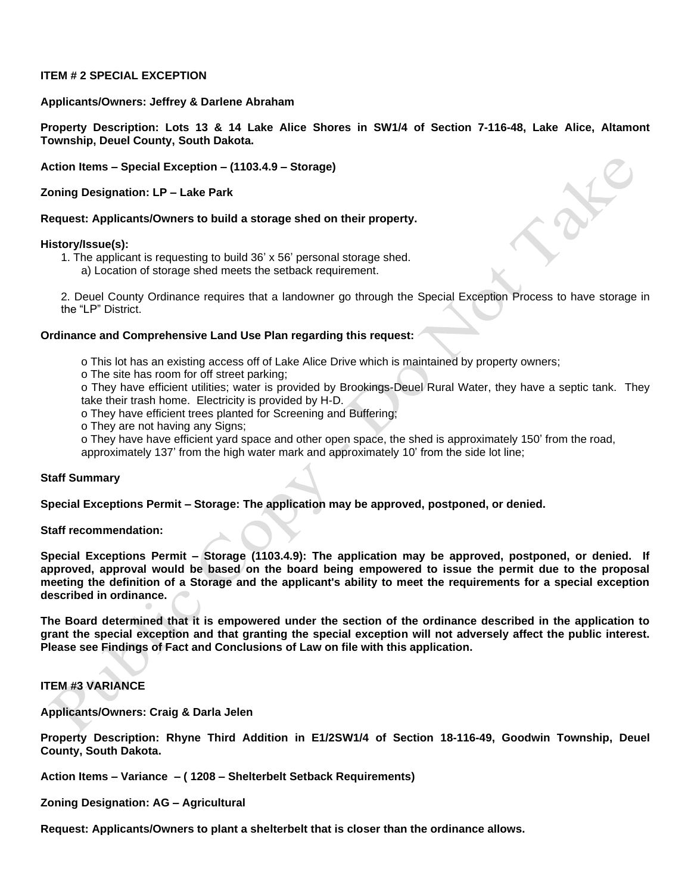# **ITEM # 2 SPECIAL EXCEPTION**

#### **Applicants/Owners: Jeffrey & Darlene Abraham**

**Property Description: Lots 13 & 14 Lake Alice Shores in SW1/4 of Section 7-116-48, Lake Alice, Altamont Township, Deuel County, South Dakota.**

**Action Items – Special Exception – (1103.4.9 – Storage)**

**Zoning Designation: LP – Lake Park**

**Request: Applicants/Owners to build a storage shed on their property.**

#### **History/Issue(s):**

1. The applicant is requesting to build 36' x 56' personal storage shed. a) Location of storage shed meets the setback requirement.

2. Deuel County Ordinance requires that a landowner go through the Special Exception Process to have storage in the "LP" District.

# **Ordinance and Comprehensive Land Use Plan regarding this request:**

- o This lot has an existing access off of Lake Alice Drive which is maintained by property owners;
- o The site has room for off street parking;
- o They have efficient utilities; water is provided by Brookings-Deuel Rural Water, they have a septic tank. They take their trash home. Electricity is provided by H-D.
- o They have efficient trees planted for Screening and Buffering;
- o They are not having any Signs;
- o They have have efficient yard space and other open space, the shed is approximately 150' from the road,

# approximately 137' from the high water mark and approximately 10' from the side lot line;

# **Staff Summary**

**Special Exceptions Permit – Storage: The application may be approved, postponed, or denied.** 

**Staff recommendation:** 

**Special Exceptions Permit – Storage (1103.4.9): The application may be approved, postponed, or denied. If approved, approval would be based on the board being empowered to issue the permit due to the proposal meeting the definition of a Storage and the applicant's ability to meet the requirements for a special exception described in ordinance.** 

**The Board determined that it is empowered under the section of the ordinance described in the application to grant the special exception and that granting the special exception will not adversely affect the public interest. Please see Findings of Fact and Conclusions of Law on file with this application.**

# **ITEM #3 VARIANCE**

**Applicants/Owners: Craig & Darla Jelen**

**Property Description: Rhyne Third Addition in E1/2SW1/4 of Section 18-116-49, Goodwin Township, Deuel County, South Dakota.**

**Action Items – Variance – ( 1208 – Shelterbelt Setback Requirements)**

**Zoning Designation: AG – Agricultural**

**Request: Applicants/Owners to plant a shelterbelt that is closer than the ordinance allows.**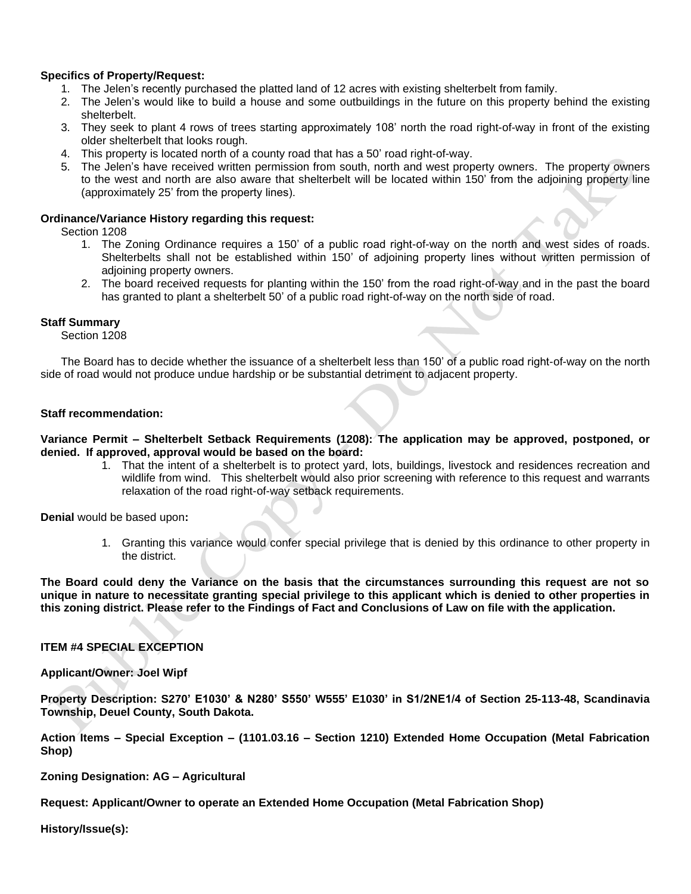# **Specifics of Property/Request:**

- 1. The Jelen's recently purchased the platted land of 12 acres with existing shelterbelt from family.
- 2. The Jelen's would like to build a house and some outbuildings in the future on this property behind the existing shelterbelt.
- 3. They seek to plant 4 rows of trees starting approximately 108' north the road right-of-way in front of the existing older shelterbelt that looks rough.
- 4. This property is located north of a county road that has a 50' road right-of-way.
- 5. The Jelen's have received written permission from south, north and west property owners. The property owners to the west and north are also aware that shelterbelt will be located within 150' from the adjoining property line (approximately 25' from the property lines).

# **Ordinance/Variance History regarding this request:**

Section 1208

- 1. The Zoning Ordinance requires a 150' of a public road right-of-way on the north and west sides of roads. Shelterbelts shall not be established within 150' of adjoining property lines without written permission of adjoining property owners.
- 2. The board received requests for planting within the 150' from the road right-of-way and in the past the board has granted to plant a shelterbelt 50' of a public road right-of-way on the north side of road.

# **Staff Summary**

Section 1208

The Board has to decide whether the issuance of a shelterbelt less than 150' of a public road right-of-way on the north side of road would not produce undue hardship or be substantial detriment to adjacent property.

# **Staff recommendation:**

**Variance Permit – Shelterbelt Setback Requirements (1208): The application may be approved, postponed, or denied. If approved, approval would be based on the board:**

> 1. That the intent of a shelterbelt is to protect yard, lots, buildings, livestock and residences recreation and wildlife from wind. This shelterbelt would also prior screening with reference to this request and warrants relaxation of the road right-of-way setback requirements.

**Denial** would be based upon**:**

1. Granting this variance would confer special privilege that is denied by this ordinance to other property in the district.

**The Board could deny the Variance on the basis that the circumstances surrounding this request are not so unique in nature to necessitate granting special privilege to this applicant which is denied to other properties in this zoning district. Please refer to the Findings of Fact and Conclusions of Law on file with the application.**

# **ITEM #4 SPECIAL EXCEPTION**

**Applicant/Owner: Joel Wipf**

**Property Description: S270' E1030' & N280' S550' W555' E1030' in S1/2NE1/4 of Section 25-113-48, Scandinavia Township, Deuel County, South Dakota.**

**Action Items – Special Exception – (1101.03.16 – Section 1210) Extended Home Occupation (Metal Fabrication Shop)** 

**Zoning Designation: AG – Agricultural**

**Request: Applicant/Owner to operate an Extended Home Occupation (Metal Fabrication Shop)** 

**History/Issue(s):**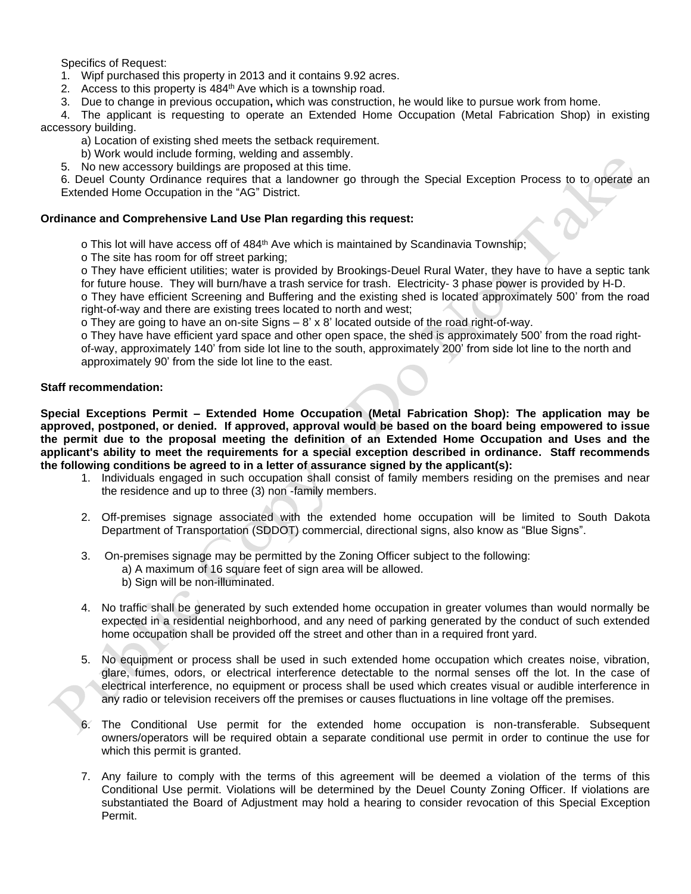Specifics of Request:

- 1. Wipf purchased this property in 2013 and it contains 9.92 acres.
- 2. Access to this property is 484<sup>th</sup> Ave which is a township road.
- 3. Due to change in previous occupation**,** which was construction, he would like to pursue work from home.

4. The applicant is requesting to operate an Extended Home Occupation (Metal Fabrication Shop) in existing accessory building.

- a) Location of existing shed meets the setback requirement.
- b) Work would include forming, welding and assembly.
- 5. No new accessory buildings are proposed at this time.

6. Deuel County Ordinance requires that a landowner go through the Special Exception Process to to operate an Extended Home Occupation in the "AG" District.

# **Ordinance and Comprehensive Land Use Plan regarding this request:**

o This lot will have access off of 484<sup>th</sup> Ave which is maintained by Scandinavia Township:

o The site has room for off street parking;

o They have efficient utilities; water is provided by Brookings-Deuel Rural Water, they have to have a septic tank for future house. They will burn/have a trash service for trash. Electricity- 3 phase power is provided by H-D.

o They have efficient Screening and Buffering and the existing shed is located approximately 500' from the road right-of-way and there are existing trees located to north and west;

o They are going to have an on-site Signs – 8' x 8' located outside of the road right-of-way.

o They have have efficient yard space and other open space, the shed is approximately 500' from the road rightof-way, approximately 140' from side lot line to the south, approximately 200' from side lot line to the north and approximately 90' from the side lot line to the east.

# **Staff recommendation:**

**Special Exceptions Permit – Extended Home Occupation (Metal Fabrication Shop): The application may be approved, postponed, or denied. If approved, approval would be based on the board being empowered to issue the permit due to the proposal meeting the definition of an Extended Home Occupation and Uses and the applicant's ability to meet the requirements for a special exception described in ordinance. Staff recommends the following conditions be agreed to in a letter of assurance signed by the applicant(s):**

- 1. Individuals engaged in such occupation shall consist of family members residing on the premises and near the residence and up to three (3) non -family members.
- 2. Off-premises signage associated with the extended home occupation will be limited to South Dakota Department of Transportation (SDDOT) commercial, directional signs, also know as "Blue Signs".
- 3. On-premises signage may be permitted by the Zoning Officer subject to the following:
	- a) A maximum of 16 square feet of sign area will be allowed.
		- b) Sign will be non-illuminated.
- 4. No traffic shall be generated by such extended home occupation in greater volumes than would normally be expected in a residential neighborhood, and any need of parking generated by the conduct of such extended home occupation shall be provided off the street and other than in a required front yard.
- 5. No equipment or process shall be used in such extended home occupation which creates noise, vibration, glare, fumes, odors, or electrical interference detectable to the normal senses off the lot. In the case of electrical interference, no equipment or process shall be used which creates visual or audible interference in any radio or television receivers off the premises or causes fluctuations in line voltage off the premises.
- The Conditional Use permit for the extended home occupation is non-transferable. Subsequent owners/operators will be required obtain a separate conditional use permit in order to continue the use for which this permit is granted.
- 7. Any failure to comply with the terms of this agreement will be deemed a violation of the terms of this Conditional Use permit. Violations will be determined by the Deuel County Zoning Officer. If violations are substantiated the Board of Adjustment may hold a hearing to consider revocation of this Special Exception Permit.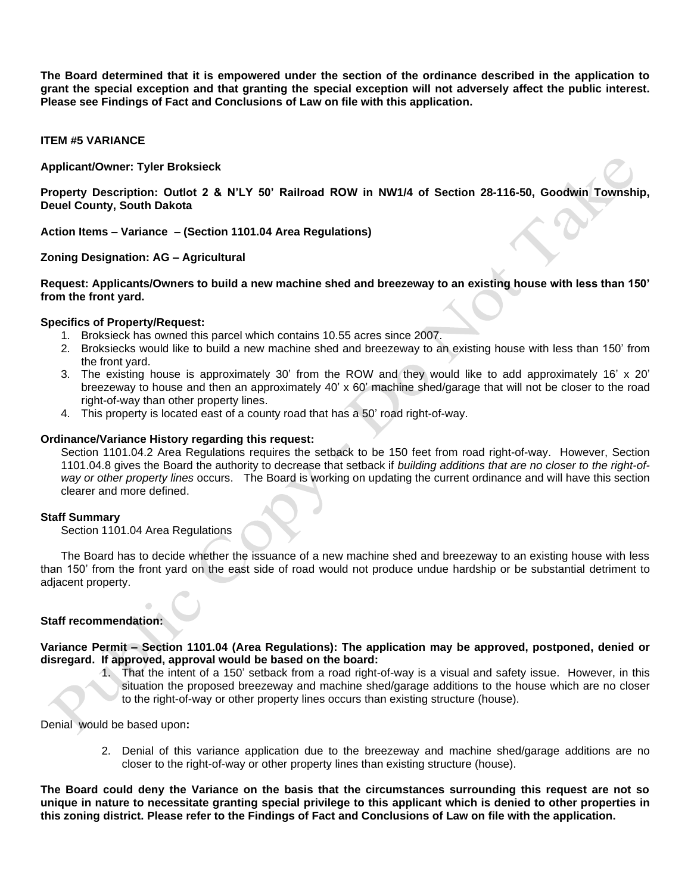**The Board determined that it is empowered under the section of the ordinance described in the application to grant the special exception and that granting the special exception will not adversely affect the public interest. Please see Findings of Fact and Conclusions of Law on file with this application.**

**ITEM #5 VARIANCE**

**Applicant/Owner: Tyler Broksieck**

**Property Description: Outlot 2 & N'LY 50' Railroad ROW in NW1/4 of Section 28-116-50, Goodwin Township, Deuel County, South Dakota**

**Action Items – Variance – (Section 1101.04 Area Regulations)**

**Zoning Designation: AG – Agricultural**

**Request: Applicants/Owners to build a new machine shed and breezeway to an existing house with less than 150' from the front yard.** 

#### **Specifics of Property/Request:**

- 1. Broksieck has owned this parcel which contains 10.55 acres since 2007.
- 2. Broksiecks would like to build a new machine shed and breezeway to an existing house with less than 150' from the front yard.
- 3. The existing house is approximately 30' from the ROW and they would like to add approximately 16' x 20' breezeway to house and then an approximately 40' x 60' machine shed/garage that will not be closer to the road right-of-way than other property lines.
- 4. This property is located east of a county road that has a 50' road right-of-way.

#### **Ordinance/Variance History regarding this request:**

Section 1101.04.2 Area Regulations requires the setback to be 150 feet from road right-of-way. However, Section 1101.04.8 gives the Board the authority to decrease that setback if *building additions that are no closer to the right-ofway or other property lines* occurs. The Board is working on updating the current ordinance and will have this section clearer and more defined.

#### **Staff Summary**

Section 1101.04 Area Regulations

The Board has to decide whether the issuance of a new machine shed and breezeway to an existing house with less than 150' from the front yard on the east side of road would not produce undue hardship or be substantial detriment to adjacent property.

# **Staff recommendation:**

**Variance Permit – Section 1101.04 (Area Regulations): The application may be approved, postponed, denied or disregard. If approved, approval would be based on the board:**

1. That the intent of a 150' setback from a road right-of-way is a visual and safety issue. However, in this situation the proposed breezeway and machine shed/garage additions to the house which are no closer to the right-of-way or other property lines occurs than existing structure (house).

Denial would be based upon**:**

2. Denial of this variance application due to the breezeway and machine shed/garage additions are no closer to the right-of-way or other property lines than existing structure (house).

**The Board could deny the Variance on the basis that the circumstances surrounding this request are not so unique in nature to necessitate granting special privilege to this applicant which is denied to other properties in this zoning district. Please refer to the Findings of Fact and Conclusions of Law on file with the application.**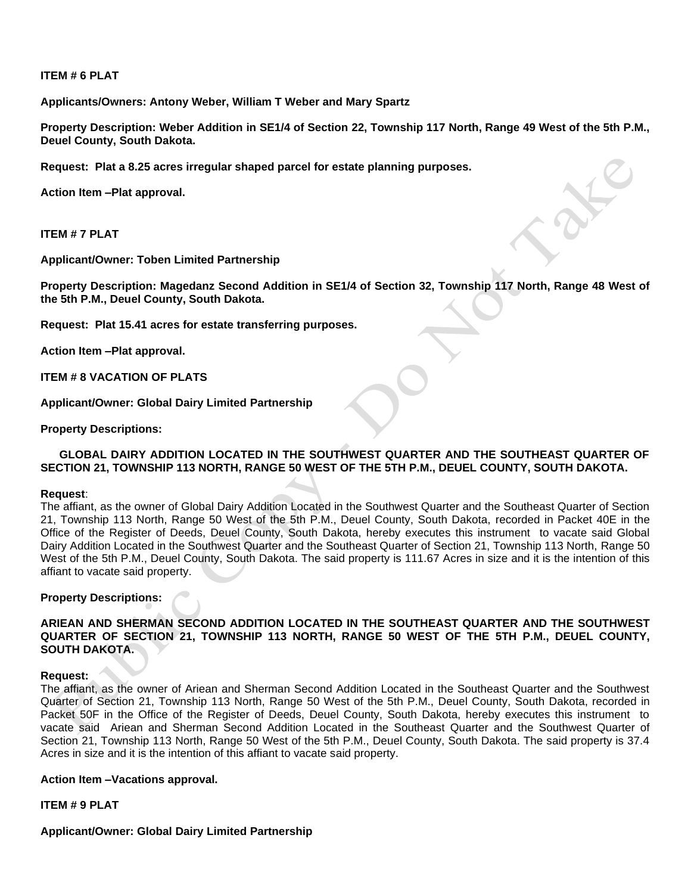# **ITEM # 6 PLAT**

**Applicants/Owners: Antony Weber, William T Weber and Mary Spartz**

**Property Description: Weber Addition in SE1/4 of Section 22, Township 117 North, Range 49 West of the 5th P.M., Deuel County, South Dakota.**

**Request: Plat a 8.25 acres irregular shaped parcel for estate planning purposes.** 

**Action Item –Plat approval.**

**ITEM # 7 PLAT**

**Applicant/Owner: Toben Limited Partnership**

**Property Description: Magedanz Second Addition in SE1/4 of Section 32, Township 117 North, Range 48 West of the 5th P.M., Deuel County, South Dakota.**

**Request: Plat 15.41 acres for estate transferring purposes.** 

**Action Item –Plat approval.**

**ITEM # 8 VACATION OF PLATS**

**Applicant/Owner: Global Dairy Limited Partnership**

**Property Descriptions:**

#### **GLOBAL DAIRY ADDITION LOCATED IN THE SOUTHWEST QUARTER AND THE SOUTHEAST QUARTER OF SECTION 21, TOWNSHIP 113 NORTH, RANGE 50 WEST OF THE 5TH P.M., DEUEL COUNTY, SOUTH DAKOTA.**

#### **Request**:

The affiant, as the owner of Global Dairy Addition Located in the Southwest Quarter and the Southeast Quarter of Section 21, Township 113 North, Range 50 West of the 5th P.M., Deuel County, South Dakota, recorded in Packet 40E in the Office of the Register of Deeds, Deuel County, South Dakota, hereby executes this instrument to vacate said Global Dairy Addition Located in the Southwest Quarter and the Southeast Quarter of Section 21, Township 113 North, Range 50 West of the 5th P.M., Deuel County, South Dakota. The said property is 111.67 Acres in size and it is the intention of this affiant to vacate said property.

# **Property Descriptions:**

# **ARIEAN AND SHERMAN SECOND ADDITION LOCATED IN THE SOUTHEAST QUARTER AND THE SOUTHWEST QUARTER OF SECTION 21, TOWNSHIP 113 NORTH, RANGE 50 WEST OF THE 5TH P.M., DEUEL COUNTY, SOUTH DAKOTA.**

#### **Request:**

The affiant, as the owner of Ariean and Sherman Second Addition Located in the Southeast Quarter and the Southwest Quarter of Section 21, Township 113 North, Range 50 West of the 5th P.M., Deuel County, South Dakota, recorded in Packet 50F in the Office of the Register of Deeds, Deuel County, South Dakota, hereby executes this instrument to vacate said Ariean and Sherman Second Addition Located in the Southeast Quarter and the Southwest Quarter of Section 21, Township 113 North, Range 50 West of the 5th P.M., Deuel County, South Dakota. The said property is 37.4 Acres in size and it is the intention of this affiant to vacate said property.

#### **Action Item –Vacations approval.**

**ITEM # 9 PLAT**

# **Applicant/Owner: Global Dairy Limited Partnership**